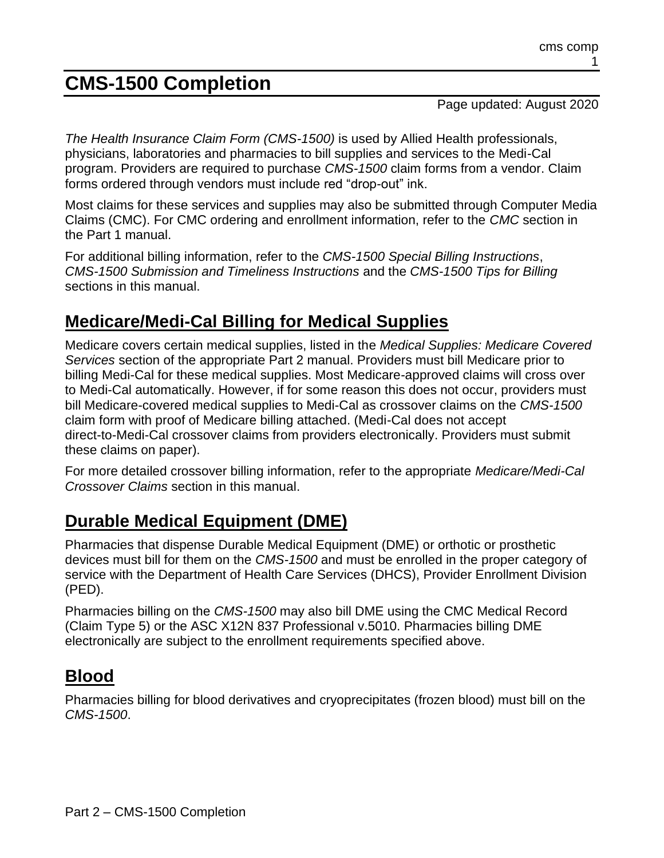# **CMS-1500 Completion**

Page updated: August 2020

*The Health Insurance Claim Form (CMS-1500)* is used by Allied Health professionals, physicians, laboratories and pharmacies to bill supplies and services to the Medi-Cal program. Providers are required to purchase *CMS-1500* claim forms from a vendor. Claim forms ordered through vendors must include red "drop-out" ink.

Most claims for these services and supplies may also be submitted through Computer Media Claims (CMC). For CMC ordering and enrollment information, refer to the *CMC* section in the Part 1 manual.

For additional billing information, refer to the *CMS-1500 Special Billing Instructions*, *CMS-1500 Submission and Timeliness Instructions* and the *CMS-1500 Tips for Billing* sections in this manual.

# **Medicare/Medi-Cal Billing for Medical Supplies**

Medicare covers certain medical supplies, listed in the *Medical Supplies: Medicare Covered Services* section of the appropriate Part 2 manual. Providers must bill Medicare prior to billing Medi-Cal for these medical supplies. Most Medicare-approved claims will cross over to Medi-Cal automatically. However, if for some reason this does not occur, providers must bill Medicare-covered medical supplies to Medi-Cal as crossover claims on the *CMS-1500* claim form with proof of Medicare billing attached. (Medi-Cal does not accept direct-to-Medi-Cal crossover claims from providers electronically. Providers must submit these claims on paper).

For more detailed crossover billing information, refer to the appropriate *Medicare/Medi-Cal Crossover Claims* section in this manual.

# **Durable Medical Equipment (DME)**

Pharmacies that dispense Durable Medical Equipment (DME) or orthotic or prosthetic devices must bill for them on the *CMS-1500* and must be enrolled in the proper category of service with the Department of Health Care Services (DHCS), Provider Enrollment Division (PED).

Pharmacies billing on the *CMS-1500* may also bill DME using the CMC Medical Record (Claim Type 5) or the ASC X12N 837 Professional v.5010. Pharmacies billing DME electronically are subject to the enrollment requirements specified above.

# **Blood**

Pharmacies billing for blood derivatives and cryoprecipitates (frozen blood) must bill on the *CMS-1500*.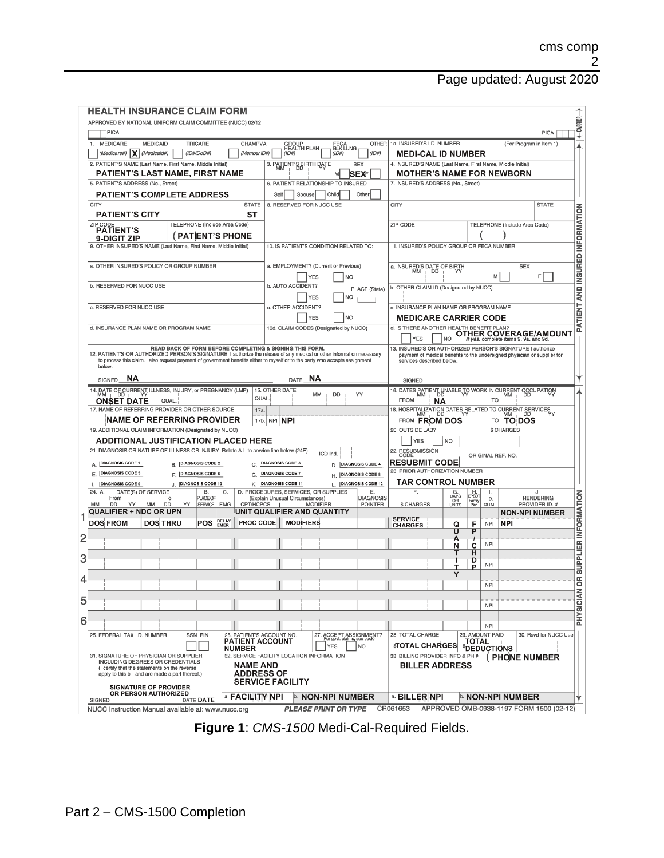| <b>HEALTH INSURANCE CLAIM FORM</b>                                                                                                                                                                                                                                                                                         |                                                                                                               |                                                                                                                                                                     |
|----------------------------------------------------------------------------------------------------------------------------------------------------------------------------------------------------------------------------------------------------------------------------------------------------------------------------|---------------------------------------------------------------------------------------------------------------|---------------------------------------------------------------------------------------------------------------------------------------------------------------------|
| APPROVED BY NATIONAL UNIFORM CLAIM COMMITTEE (NUCC) 02/12                                                                                                                                                                                                                                                                  |                                                                                                               | ← CARRIER-                                                                                                                                                          |
| PICA                                                                                                                                                                                                                                                                                                                       |                                                                                                               | <b>PICA</b>                                                                                                                                                         |
| <b>MEDICARE</b><br><b>MEDICAID</b><br><b>TRICARE</b><br>CHAMPVA<br>1.<br>(Medicare#) $ \mathsf{X} $<br>(Medicaid#)<br>(ID#/DoD#)<br>(Member ID#)                                                                                                                                                                           | <b>OTHER</b><br>GROUP<br>HEALTH PLAN<br>FECA<br>BLK LUNG<br>(1D#)<br>(1D#)<br>(1D#)                           | 1a. INSURED'S I.D. NUMBER<br>(For Program in Item 1)<br><b>MEDI-CAL ID NUMBER</b>                                                                                   |
| 2. PATIENT'S NAME (Last Name, First Name, Middle Initial)                                                                                                                                                                                                                                                                  | 3. PATIENT'S BIRTH DATE<br><b>SEX</b>                                                                         | 4. INSURED'S NAME (Last Name, First Name, Middle Initial)                                                                                                           |
| <b>PATIENT'S LAST NAME. FIRST NAME</b><br>5. PATIENT'S ADDRESS (No., Street)                                                                                                                                                                                                                                               | lSEXF<br>м<br>6. PATIENT RELATIONSHIP TO INSURED                                                              | <b>MOTHER'S NAME FOR NEWBORN</b><br>7. INSURED'S ADDRESS (No., Street)                                                                                              |
| <b>PATIENT'S COMPLETE ADDRESS</b>                                                                                                                                                                                                                                                                                          | Other<br>Self<br>Spouse<br>Child                                                                              |                                                                                                                                                                     |
| <b>CITY</b><br><b>STATE</b><br><b>PATIENT'S CITY</b><br>ST                                                                                                                                                                                                                                                                 | 8. RESERVED FOR NUCC USE                                                                                      | <b>CITY</b><br><b>STATE</b>                                                                                                                                         |
| ZIP CODE<br>TELEPHONE (Include Area Code)<br><b>PATIENT'S</b><br><b>PATIENT'S PHONE</b>                                                                                                                                                                                                                                    |                                                                                                               | ZIP CODE<br>TELEPHONE (Include Area Code)                                                                                                                           |
| <b>9-DIGIT ZIP</b><br>9. OTHER INSURED'S NAME (Last Name, First Name, Middle Initial)                                                                                                                                                                                                                                      | 10. IS PATIENT'S CONDITION RELATED TO:                                                                        | 11. INSURED'S POLICY GROUP OR FECA NUMBER                                                                                                                           |
| a. OTHER INSURED'S POLICY OR GROUP NUMBER                                                                                                                                                                                                                                                                                  | a. EMPLOYMENT? (Current or Previous)                                                                          | <b>SEX</b><br>a. INSURED'S DATE OF BIRTH<br>MM<br>DD                                                                                                                |
| b. RESERVED FOR NUCC USE                                                                                                                                                                                                                                                                                                   | <b>YES</b><br>NO<br>b. AUTO ACCIDENT?<br>PLACE (State)                                                        | F.<br>М<br>b. OTHER CLAIM ID (Designated by NUCC)                                                                                                                   |
| c. RESERVED FOR NUCC USE                                                                                                                                                                                                                                                                                                   | YES<br><b>NO</b><br>c. OTHER ACCIDENT?                                                                        | PATIENT AND INSURED INFORMATION<br>c. INSURANCE PLAN NAME OR PROGRAM NAME                                                                                           |
|                                                                                                                                                                                                                                                                                                                            | N <sub>O</sub><br><b>YES</b>                                                                                  | <b>MEDICARE CARRIER CODE</b>                                                                                                                                        |
| d. INSURANCE PLAN NAME OR PROGRAM NAME                                                                                                                                                                                                                                                                                     | 10d. CLAIM CODES (Designated by NUCC)                                                                         | d. IS THERE ANOTHER HEALTH BENEFIT PLAN?<br><b>OTHER COVERAGE/AMOUNT</b><br><b>YES</b><br><b>NO</b><br>If yes, complete items 9, 9a, and 9d.                        |
| READ BACK OF FORM BEFORE COMPLETING & SIGNING THIS FORM.<br>12. PATIENT'S OR AUTHORIZED PERSON'S SIGNATURE I authorize the release of any medical or other information necessary<br>to process this claim. I also request payment of government benefits either to myself or to the party who accepts assignment<br>below. |                                                                                                               | 13. INSURED'S OR AUTHORIZED PERSON'S SIGNATURE I authorize<br>payment of medical benefits to the undersigned physician or supplier for<br>services described below. |
| ΝA<br><b>SIGNED</b>                                                                                                                                                                                                                                                                                                        | <b>NA</b><br>DATE                                                                                             | <b>SIGNED</b>                                                                                                                                                       |
| 14. DATE OF CURRENT ILLNESS, INJURY, or PREGNANCY (LMP)<br>QUAL<br><b>ONSET DATE</b><br>QUAL                                                                                                                                                                                                                               | 15. OTHER DATE<br>MM<br>DD<br>YY                                                                              | 16. DATES PATIENT UNABLE TO WORK IN CURRENT OCCUPATION<br><b>TO</b><br><b>FROM</b><br>ΝA                                                                            |
| 17. NAME OF REFERRING PROVIDER OR OTHER SOURCE<br>17a.                                                                                                                                                                                                                                                                     |                                                                                                               | 18. HOSPITALIZATION DATES RELATED TO CURRENT SERVICES MM                                                                                                            |
| <b>NAME OF REFERRING PROVIDER</b><br>17b.<br>19. ADDITIONAL CLAIM INFORMATION (Designated by NUCC)                                                                                                                                                                                                                         | NPI NPI                                                                                                       | FROM <b>FROM DOS</b><br>TO TO DOS<br>20. OUTSIDE LAB?<br><b>\$ CHARGES</b>                                                                                          |
| <b>ADDITIONAL JUSTIFICATION PLACED HERE</b>                                                                                                                                                                                                                                                                                |                                                                                                               | <b>YES</b><br>NO                                                                                                                                                    |
| 21. DIAGNOSIS OR NATURE OF ILLNESS OR INJURY Relate A-L to service line below (24E)                                                                                                                                                                                                                                        | ICD Ind.                                                                                                      | 22. RESUBMISSION<br>ORIGINAL REF. NO.                                                                                                                               |
| <b>DIAGNOSIS CODE 1</b><br><b>B.</b> DIAGNOSIS CODE 2<br>A.<br>C.<br>E. DIAGNOSIS CODE 5<br><b>DIAGNOSIS CODE 6</b>                                                                                                                                                                                                        | <b>DIAGNOSIS CODE 3</b><br><b>DIAGNOSIS CODE 4</b><br><b>DIAGNOSIS CODE 7</b><br><b>DIAGNOSIS CODE 8</b><br>н | <b>RESUBMIT CODE</b><br>23. PRIOR AUTHORIZATION NUMBER                                                                                                              |
| <b>DIAGNOSIS CODE 9</b><br>J.   DIAGNOSIS CODE 10                                                                                                                                                                                                                                                                          | <b>DIAGNOSIS CODE 12</b><br>K.   DIAGNOSIS CODE 11<br>L.                                                      | <b>TAR CONTROL NUMBER</b>                                                                                                                                           |
| 24.<br>DATE(S) OF SERVICE<br><b>B.</b><br>C.<br>A.<br>PLACE OF<br>From<br>To                                                                                                                                                                                                                                               | D. PROCEDURES, SERVICES, OR SUPPLIES<br>Е.<br>(Explain Unusual Circumstances)<br><b>DIAGNOSIS</b>             | F.<br>G.<br>DAYS<br>н<br>1.<br>J.<br>EPSÖ1<br><b>RENDERING</b><br>ID.<br>OR<br>UNITS<br>Family<br>Plan                                                              |
| CPT/HCPCS<br><b>MM</b><br>DD<br>YY<br>MM<br><b>DD</b><br>YY<br><b>SERVICE</b><br><b>EMG</b><br>QUALIFIER + NDC OR UPN                                                                                                                                                                                                      | <b>MODIFIER</b><br><b>POINTER</b><br>UNIT QUALIFIER AND QUANTITY                                              | PROVIDER ID. #<br><b>\$ CHARGES</b><br>QUAL<br><b>NON-NPI NUMBER</b>                                                                                                |
| <b>DELAY</b><br>EMER<br><b>DOS FROM</b><br><b>DOS THRU</b><br>PROC CODE<br><b>POS</b>                                                                                                                                                                                                                                      | <b>MODIFIERS</b>                                                                                              | <b>SERVICE</b><br>F<br><b>NPI</b><br>Q<br><b>NPI</b><br><b>CHARGES</b><br>Ū<br>P                                                                                    |
|                                                                                                                                                                                                                                                                                                                            |                                                                                                               | А<br><b>NPI</b><br>N<br>c                                                                                                                                           |
|                                                                                                                                                                                                                                                                                                                            |                                                                                                               | τ<br>н<br>D<br><b>NPI</b><br>P<br>т                                                                                                                                 |
|                                                                                                                                                                                                                                                                                                                            |                                                                                                               | Y<br><b>NPI</b>                                                                                                                                                     |
|                                                                                                                                                                                                                                                                                                                            |                                                                                                               | <b>NPI</b>                                                                                                                                                          |
| 6                                                                                                                                                                                                                                                                                                                          |                                                                                                               |                                                                                                                                                                     |
| 25. FEDERAL TAX I.D. NUMBER<br><b>SSN EIN</b><br>26. PATIENT'S ACCOUNT NO.                                                                                                                                                                                                                                                 | 27. ACCEPT ASSIGNMENT?<br>For govt. claims, see back                                                          | <b>NPI</b><br>28. TOTAL CHARGE<br>29. AMOUNT PAID<br>30. Rsvd for NUCC Use                                                                                          |
| <b>PATIENT ACCOUNT</b><br><b>NUMBER</b>                                                                                                                                                                                                                                                                                    | <b>YES</b><br>NO.                                                                                             | <b>TOTAL</b><br><b>STOTAL CHARGES</b><br><b><i>SDEDUCTIONS</i></b>                                                                                                  |
| 31. SIGNATURE OF PHYSICIAN OR SUPPLIER<br>INCLUDING DEGREES OR CREDENTIALS<br><b>NAME AND</b><br>(I certify that the statements on the reverse<br><b>ADDRESS OF</b><br>apply to this bill and are made a part thereof.)                                                                                                    | 32. SERVICE FACILITY LOCATION INFORMATION<br><b>SERVICE FACILITY</b>                                          | 33. BILLING PROVIDER INFO & PH #<br><b>PHONE NUMBER</b><br><b>BILLER ADDRESS</b>                                                                                    |
| <b>SIGNATURE OF PROVIDER</b><br>OR PERSON AUTHORIZED<br>a. FACILITY NPI                                                                                                                                                                                                                                                    | ▷ NON-NPI NUMBER                                                                                              | a. BILLER NPI<br>∣⊵ NON-NPI NUMBER                                                                                                                                  |
| DATE DATE<br>SIGNED<br>NUCC Instruction Manual available at: www.nucc.org                                                                                                                                                                                                                                                  | <b>PLEASE PRINT OR TYPE</b>                                                                                   | CR061653<br>APPROVED OMB-0938-1197 FORM 1500 (02-12)                                                                                                                |

**Figure 1**: *CMS-1500* Medi-Cal-Required Fields.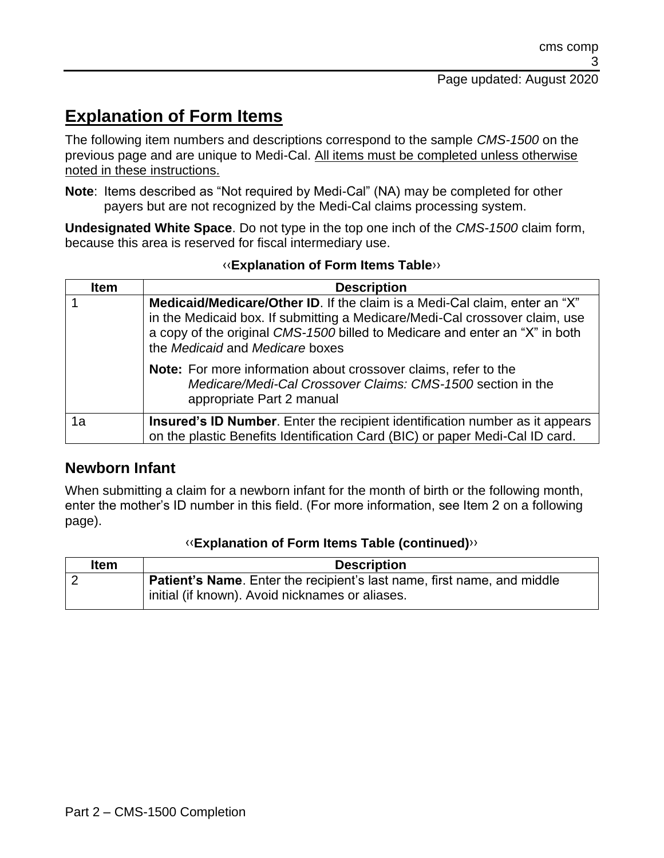# **Explanation of Form Items**

The following item numbers and descriptions correspond to the sample *CMS-1500* on the previous page and are unique to Medi-Cal. All items must be completed unless otherwise noted in these instructions.

**Note**: Items described as "Not required by Medi-Cal" (NA) may be completed for other payers but are not recognized by the Medi-Cal claims processing system.

**Undesignated White Space**. Do not type in the top one inch of the *CMS-1500* claim form, because this area is reserved for fiscal intermediary use.

| <b>Item</b> | <b>Description</b>                                                                                                                                                                                                                                                          |
|-------------|-----------------------------------------------------------------------------------------------------------------------------------------------------------------------------------------------------------------------------------------------------------------------------|
|             | Medicaid/Medicare/Other ID. If the claim is a Medi-Cal claim, enter an "X"<br>in the Medicaid box. If submitting a Medicare/Medi-Cal crossover claim, use<br>a copy of the original CMS-1500 billed to Medicare and enter an "X" in both<br>the Medicaid and Medicare boxes |
|             | <b>Note:</b> For more information about crossover claims, refer to the<br>Medicare/Medi-Cal Crossover Claims: CMS-1500 section in the<br>appropriate Part 2 manual                                                                                                          |
| 1a          | Insured's ID Number. Enter the recipient identification number as it appears<br>on the plastic Benefits Identification Card (BIC) or paper Medi-Cal ID card.                                                                                                                |

#### [‹‹](#page-20-0)**Explanation of Form Items Table**[››](#page-20-1)

#### **Newborn Infant**

When submitting a claim for a newborn infant for the month of birth or the following month, enter the mother's ID number in this field. (For more information, see Item 2 on a following page).

| <b>Item</b> | <b>Description</b>                                                              |
|-------------|---------------------------------------------------------------------------------|
|             | <b>Patient's Name</b> . Enter the recipient's last name, first name, and middle |
|             | initial (if known). Avoid nicknames or aliases.                                 |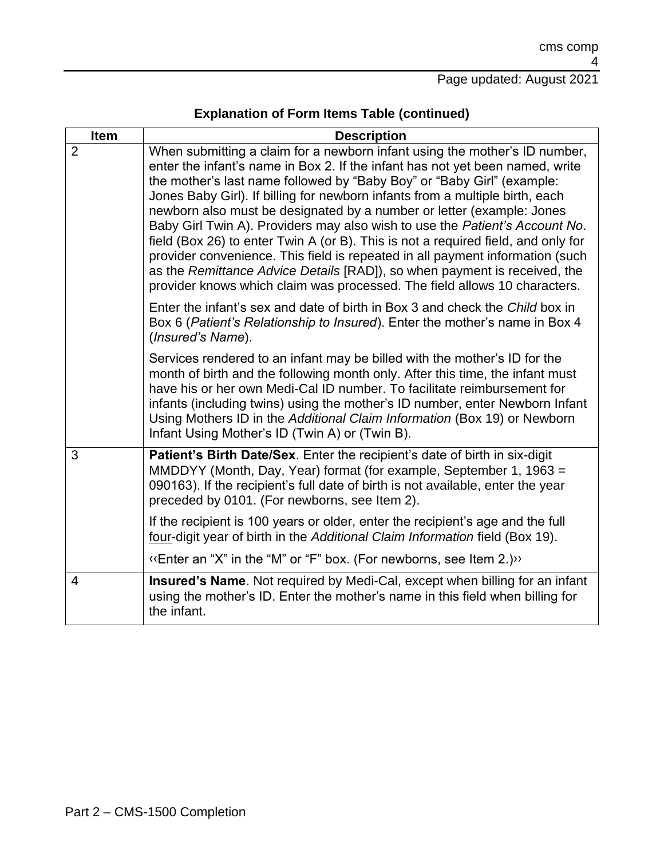| <b>Item</b>    | <b>Description</b>                                                                                                                                                                                                                                                                                                                                                                                                                                                                                                                                                                                                                                                                                                                                                                                            |
|----------------|---------------------------------------------------------------------------------------------------------------------------------------------------------------------------------------------------------------------------------------------------------------------------------------------------------------------------------------------------------------------------------------------------------------------------------------------------------------------------------------------------------------------------------------------------------------------------------------------------------------------------------------------------------------------------------------------------------------------------------------------------------------------------------------------------------------|
| $\overline{2}$ | When submitting a claim for a newborn infant using the mother's ID number,<br>enter the infant's name in Box 2. If the infant has not yet been named, write<br>the mother's last name followed by "Baby Boy" or "Baby Girl" (example:<br>Jones Baby Girl). If billing for newborn infants from a multiple birth, each<br>newborn also must be designated by a number or letter (example: Jones<br>Baby Girl Twin A). Providers may also wish to use the Patient's Account No.<br>field (Box 26) to enter Twin A (or B). This is not a required field, and only for<br>provider convenience. This field is repeated in all payment information (such<br>as the Remittance Advice Details [RAD]), so when payment is received, the<br>provider knows which claim was processed. The field allows 10 characters. |
|                | Enter the infant's sex and date of birth in Box 3 and check the Child box in<br>Box 6 (Patient's Relationship to Insured). Enter the mother's name in Box 4<br>(Insured's Name).                                                                                                                                                                                                                                                                                                                                                                                                                                                                                                                                                                                                                              |
|                | Services rendered to an infant may be billed with the mother's ID for the<br>month of birth and the following month only. After this time, the infant must<br>have his or her own Medi-Cal ID number. To facilitate reimbursement for<br>infants (including twins) using the mother's ID number, enter Newborn Infant<br>Using Mothers ID in the Additional Claim Information (Box 19) or Newborn<br>Infant Using Mother's ID (Twin A) or (Twin B).                                                                                                                                                                                                                                                                                                                                                           |
| 3              | <b>Patient's Birth Date/Sex.</b> Enter the recipient's date of birth in six-digit<br>MMDDYY (Month, Day, Year) format (for example, September 1, 1963 =<br>090163). If the recipient's full date of birth is not available, enter the year<br>preceded by 0101. (For newborns, see Item 2).                                                                                                                                                                                                                                                                                                                                                                                                                                                                                                                   |
|                | If the recipient is 100 years or older, enter the recipient's age and the full<br>four-digit year of birth in the Additional Claim Information field (Box 19).                                                                                                                                                                                                                                                                                                                                                                                                                                                                                                                                                                                                                                                |
|                | "> Enter an "X" in the "M" or "F" box. (For newborns, see Item 2.)                                                                                                                                                                                                                                                                                                                                                                                                                                                                                                                                                                                                                                                                                                                                            |
| $\overline{4}$ | Insured's Name. Not required by Medi-Cal, except when billing for an infant<br>using the mother's ID. Enter the mother's name in this field when billing for<br>the infant.                                                                                                                                                                                                                                                                                                                                                                                                                                                                                                                                                                                                                                   |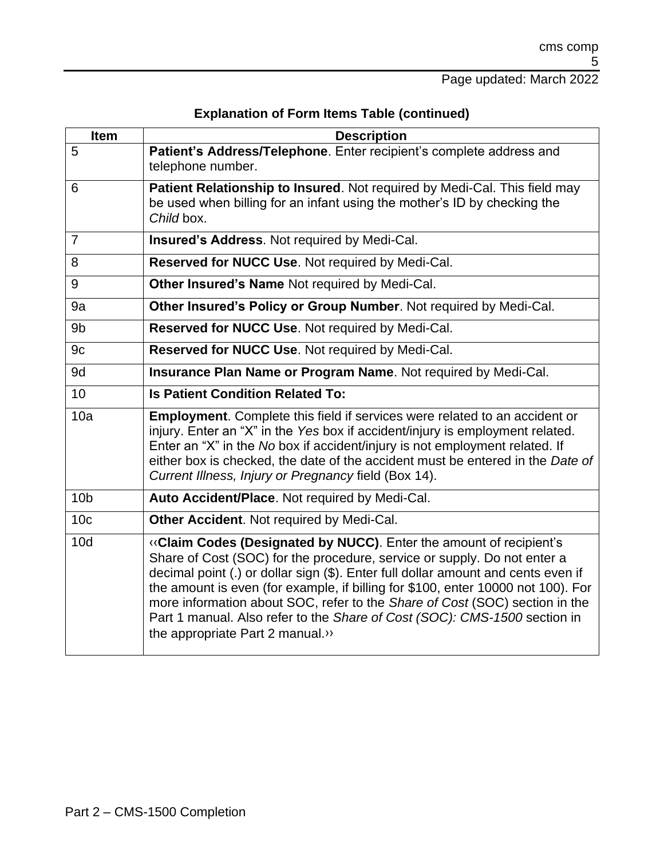| <b>Item</b>     | <b>Description</b>                                                                                                                                                                                                                                                                                                                                                                                                                                                                                                     |
|-----------------|------------------------------------------------------------------------------------------------------------------------------------------------------------------------------------------------------------------------------------------------------------------------------------------------------------------------------------------------------------------------------------------------------------------------------------------------------------------------------------------------------------------------|
| 5               | Patient's Address/Telephone. Enter recipient's complete address and<br>telephone number.                                                                                                                                                                                                                                                                                                                                                                                                                               |
| 6               | Patient Relationship to Insured. Not required by Medi-Cal. This field may<br>be used when billing for an infant using the mother's ID by checking the<br>Child box.                                                                                                                                                                                                                                                                                                                                                    |
| $\overline{7}$  | Insured's Address. Not required by Medi-Cal.                                                                                                                                                                                                                                                                                                                                                                                                                                                                           |
| 8               | Reserved for NUCC Use. Not required by Medi-Cal.                                                                                                                                                                                                                                                                                                                                                                                                                                                                       |
| 9               | Other Insured's Name Not required by Medi-Cal.                                                                                                                                                                                                                                                                                                                                                                                                                                                                         |
| 9a              | Other Insured's Policy or Group Number. Not required by Medi-Cal.                                                                                                                                                                                                                                                                                                                                                                                                                                                      |
| 9 <sub>b</sub>  | Reserved for NUCC Use. Not required by Medi-Cal.                                                                                                                                                                                                                                                                                                                                                                                                                                                                       |
| 9c              | Reserved for NUCC Use. Not required by Medi-Cal.                                                                                                                                                                                                                                                                                                                                                                                                                                                                       |
| 9d              | Insurance Plan Name or Program Name. Not required by Medi-Cal.                                                                                                                                                                                                                                                                                                                                                                                                                                                         |
| 10 <sup>1</sup> | <b>Is Patient Condition Related To:</b>                                                                                                                                                                                                                                                                                                                                                                                                                                                                                |
| 10a             | <b>Employment.</b> Complete this field if services were related to an accident or<br>injury. Enter an "X" in the Yes box if accident/injury is employment related.<br>Enter an "X" in the No box if accident/injury is not employment related. If<br>either box is checked, the date of the accident must be entered in the Date of<br>Current Illness, Injury or Pregnancy field (Box 14).                                                                                                                            |
| 10 <sub>b</sub> | Auto Accident/Place. Not required by Medi-Cal.                                                                                                                                                                                                                                                                                                                                                                                                                                                                         |
| 10 <sub>c</sub> | Other Accident. Not required by Medi-Cal.                                                                                                                                                                                                                                                                                                                                                                                                                                                                              |
| 10d             | «Claim Codes (Designated by NUCC). Enter the amount of recipient's<br>Share of Cost (SOC) for the procedure, service or supply. Do not enter a<br>decimal point (.) or dollar sign (\$). Enter full dollar amount and cents even if<br>the amount is even (for example, if billing for \$100, enter 10000 not 100). For<br>more information about SOC, refer to the Share of Cost (SOC) section in the<br>Part 1 manual. Also refer to the Share of Cost (SOC): CMS-1500 section in<br>the appropriate Part 2 manual.» |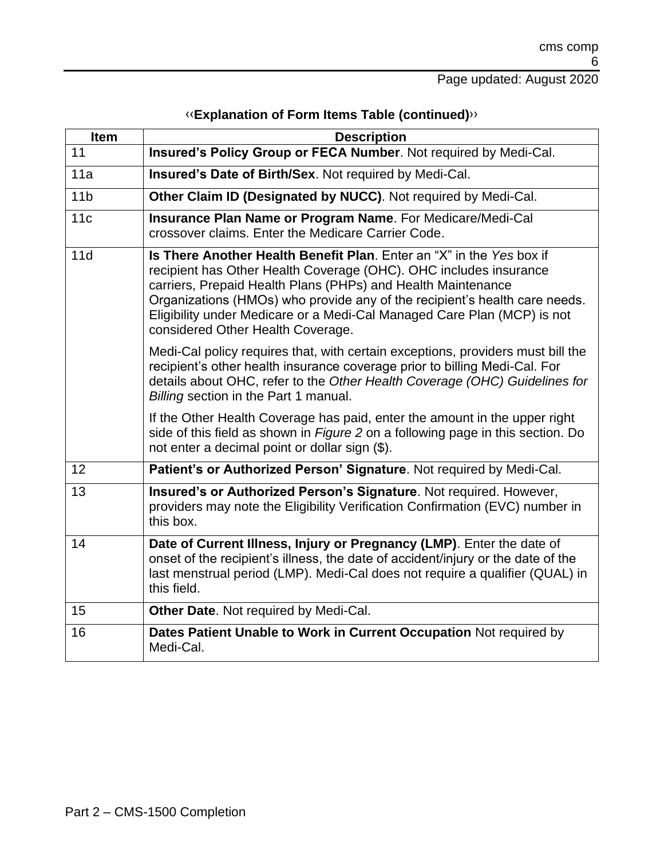| <b>Item</b>     | <b>Description</b>                                                                                                                                                                                                                                                                                                                                                                                      |
|-----------------|---------------------------------------------------------------------------------------------------------------------------------------------------------------------------------------------------------------------------------------------------------------------------------------------------------------------------------------------------------------------------------------------------------|
| 11              | Insured's Policy Group or FECA Number. Not required by Medi-Cal.                                                                                                                                                                                                                                                                                                                                        |
| 11a             | Insured's Date of Birth/Sex. Not required by Medi-Cal.                                                                                                                                                                                                                                                                                                                                                  |
| 11 <sub>b</sub> | Other Claim ID (Designated by NUCC). Not required by Medi-Cal.                                                                                                                                                                                                                                                                                                                                          |
| 11c             | Insurance Plan Name or Program Name. For Medicare/Medi-Cal<br>crossover claims. Enter the Medicare Carrier Code.                                                                                                                                                                                                                                                                                        |
| 11d             | Is There Another Health Benefit Plan. Enter an "X" in the Yes box if<br>recipient has Other Health Coverage (OHC). OHC includes insurance<br>carriers, Prepaid Health Plans (PHPs) and Health Maintenance<br>Organizations (HMOs) who provide any of the recipient's health care needs.<br>Eligibility under Medicare or a Medi-Cal Managed Care Plan (MCP) is not<br>considered Other Health Coverage. |
|                 | Medi-Cal policy requires that, with certain exceptions, providers must bill the<br>recipient's other health insurance coverage prior to billing Medi-Cal. For<br>details about OHC, refer to the Other Health Coverage (OHC) Guidelines for<br>Billing section in the Part 1 manual.                                                                                                                    |
|                 | If the Other Health Coverage has paid, enter the amount in the upper right<br>side of this field as shown in Figure 2 on a following page in this section. Do<br>not enter a decimal point or dollar sign (\$).                                                                                                                                                                                         |
| 12              | Patient's or Authorized Person' Signature. Not required by Medi-Cal.                                                                                                                                                                                                                                                                                                                                    |
| 13              | Insured's or Authorized Person's Signature. Not required. However,<br>providers may note the Eligibility Verification Confirmation (EVC) number in<br>this box.                                                                                                                                                                                                                                         |
| 14              | Date of Current Illness, Injury or Pregnancy (LMP). Enter the date of<br>onset of the recipient's illness, the date of accident/injury or the date of the<br>last menstrual period (LMP). Medi-Cal does not require a qualifier (QUAL) in<br>this field.                                                                                                                                                |
| 15              | Other Date. Not required by Medi-Cal.                                                                                                                                                                                                                                                                                                                                                                   |
| 16              | Dates Patient Unable to Work in Current Occupation Not required by<br>Medi-Cal.                                                                                                                                                                                                                                                                                                                         |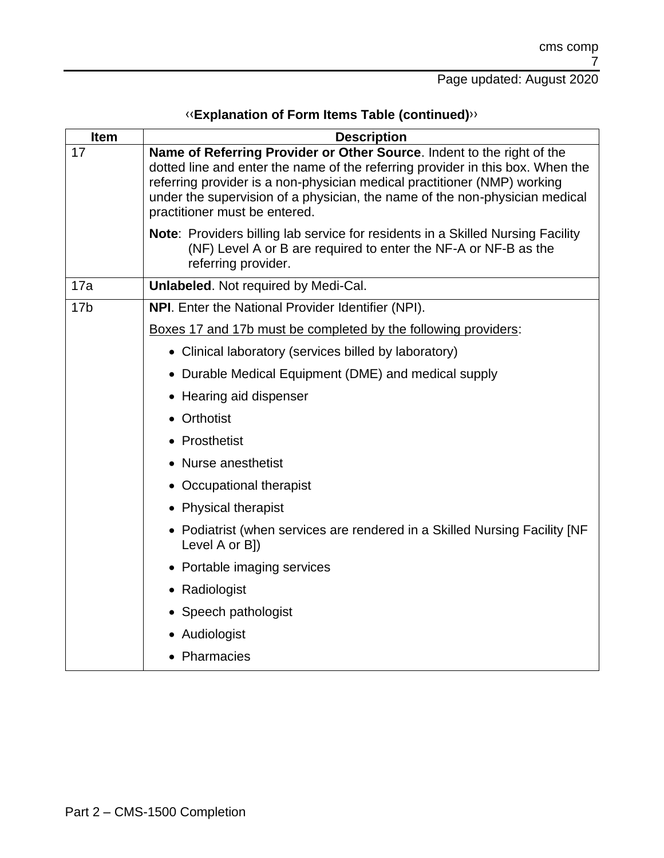| Item            | <b>Description</b>                                                                                                                                                                                                                                                                                                                                   |
|-----------------|------------------------------------------------------------------------------------------------------------------------------------------------------------------------------------------------------------------------------------------------------------------------------------------------------------------------------------------------------|
| 17              | Name of Referring Provider or Other Source. Indent to the right of the<br>dotted line and enter the name of the referring provider in this box. When the<br>referring provider is a non-physician medical practitioner (NMP) working<br>under the supervision of a physician, the name of the non-physician medical<br>practitioner must be entered. |
|                 | <b>Note:</b> Providers billing lab service for residents in a Skilled Nursing Facility<br>(NF) Level A or B are required to enter the NF-A or NF-B as the<br>referring provider.                                                                                                                                                                     |
| 17a             | <b>Unlabeled.</b> Not required by Medi-Cal.                                                                                                                                                                                                                                                                                                          |
| 17 <sub>b</sub> | NPI. Enter the National Provider Identifier (NPI).                                                                                                                                                                                                                                                                                                   |
|                 | Boxes 17 and 17b must be completed by the following providers:                                                                                                                                                                                                                                                                                       |
|                 | • Clinical laboratory (services billed by laboratory)                                                                                                                                                                                                                                                                                                |
|                 | • Durable Medical Equipment (DME) and medical supply                                                                                                                                                                                                                                                                                                 |
|                 | • Hearing aid dispenser                                                                                                                                                                                                                                                                                                                              |
|                 | • Orthotist                                                                                                                                                                                                                                                                                                                                          |
|                 | • Prosthetist                                                                                                                                                                                                                                                                                                                                        |
|                 | • Nurse anesthetist                                                                                                                                                                                                                                                                                                                                  |
|                 | • Occupational therapist                                                                                                                                                                                                                                                                                                                             |
|                 | • Physical therapist                                                                                                                                                                                                                                                                                                                                 |
|                 | • Podiatrist (when services are rendered in a Skilled Nursing Facility [NF<br>Level A or B])                                                                                                                                                                                                                                                         |
|                 | • Portable imaging services                                                                                                                                                                                                                                                                                                                          |
|                 | • Radiologist                                                                                                                                                                                                                                                                                                                                        |
|                 | • Speech pathologist                                                                                                                                                                                                                                                                                                                                 |
|                 | • Audiologist                                                                                                                                                                                                                                                                                                                                        |
|                 | • Pharmacies                                                                                                                                                                                                                                                                                                                                         |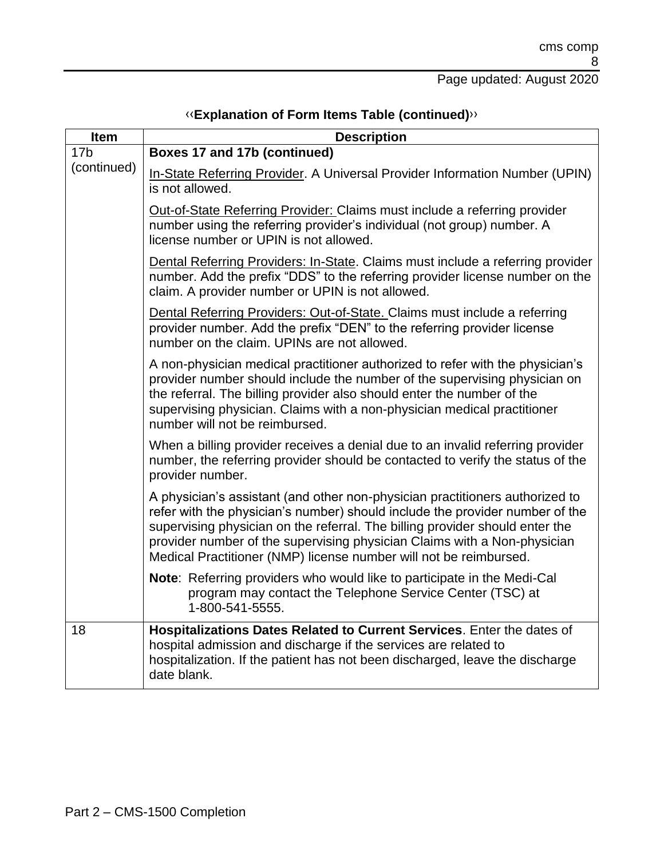| Item            | <b>Description</b>                                                                                                                                                                                                                                                                                                                                                                            |
|-----------------|-----------------------------------------------------------------------------------------------------------------------------------------------------------------------------------------------------------------------------------------------------------------------------------------------------------------------------------------------------------------------------------------------|
| 17 <sub>b</sub> | Boxes 17 and 17b (continued)                                                                                                                                                                                                                                                                                                                                                                  |
| (continued)     | In-State Referring Provider. A Universal Provider Information Number (UPIN)<br>is not allowed.                                                                                                                                                                                                                                                                                                |
|                 | Out-of-State Referring Provider: Claims must include a referring provider<br>number using the referring provider's individual (not group) number. A<br>license number or UPIN is not allowed.                                                                                                                                                                                                 |
|                 | Dental Referring Providers: In-State. Claims must include a referring provider<br>number. Add the prefix "DDS" to the referring provider license number on the<br>claim. A provider number or UPIN is not allowed.                                                                                                                                                                            |
|                 | Dental Referring Providers: Out-of-State. Claims must include a referring<br>provider number. Add the prefix "DEN" to the referring provider license<br>number on the claim. UPINs are not allowed.                                                                                                                                                                                           |
|                 | A non-physician medical practitioner authorized to refer with the physician's<br>provider number should include the number of the supervising physician on<br>the referral. The billing provider also should enter the number of the<br>supervising physician. Claims with a non-physician medical practitioner<br>number will not be reimbursed.                                             |
|                 | When a billing provider receives a denial due to an invalid referring provider<br>number, the referring provider should be contacted to verify the status of the<br>provider number.                                                                                                                                                                                                          |
|                 | A physician's assistant (and other non-physician practitioners authorized to<br>refer with the physician's number) should include the provider number of the<br>supervising physician on the referral. The billing provider should enter the<br>provider number of the supervising physician Claims with a Non-physician<br>Medical Practitioner (NMP) license number will not be reimbursed. |
|                 | Note: Referring providers who would like to participate in the Medi-Cal<br>program may contact the Telephone Service Center (TSC) at<br>1-800-541-5555.                                                                                                                                                                                                                                       |
| 18              | Hospitalizations Dates Related to Current Services. Enter the dates of<br>hospital admission and discharge if the services are related to<br>hospitalization. If the patient has not been discharged, leave the discharge<br>date blank.                                                                                                                                                      |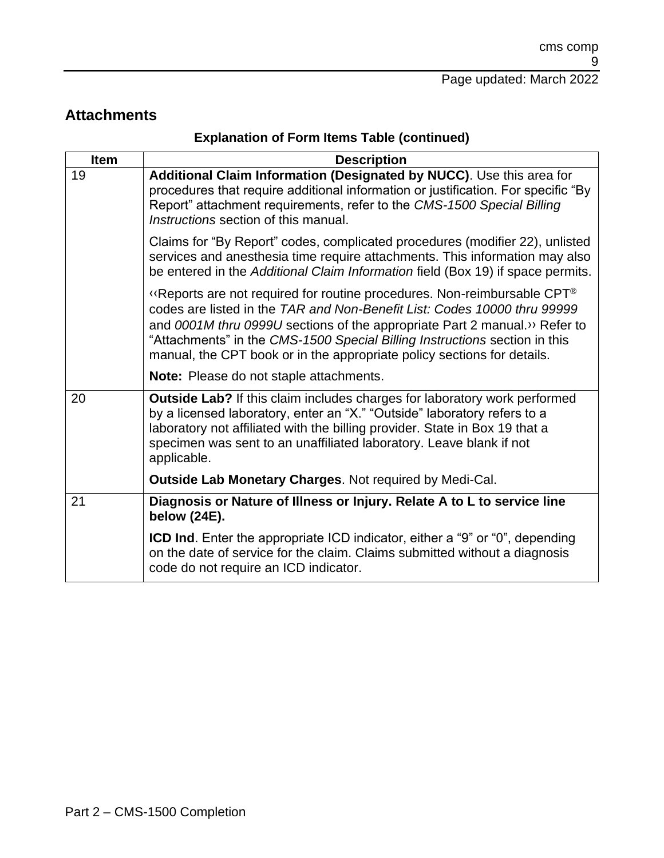#### **Attachments**

| <b>Description</b><br>Additional Claim Information (Designated by NUCC). Use this area for<br>procedures that require additional information or justification. For specific "By                                                                                                                                                                                                                            |
|------------------------------------------------------------------------------------------------------------------------------------------------------------------------------------------------------------------------------------------------------------------------------------------------------------------------------------------------------------------------------------------------------------|
|                                                                                                                                                                                                                                                                                                                                                                                                            |
| Report" attachment requirements, refer to the CMS-1500 Special Billing<br>Instructions section of this manual.                                                                                                                                                                                                                                                                                             |
| Claims for "By Report" codes, complicated procedures (modifier 22), unlisted<br>services and anesthesia time require attachments. This information may also<br>be entered in the Additional Claim Information field (Box 19) if space permits.                                                                                                                                                             |
| $\lq$ Reports are not required for routine procedures. Non-reimbursable CPT <sup>®</sup><br>codes are listed in the TAR and Non-Benefit List: Codes 10000 thru 99999<br>and 0001M thru 0999U sections of the appropriate Part 2 manual.» Refer to<br>"Attachments" in the CMS-1500 Special Billing Instructions section in this<br>manual, the CPT book or in the appropriate policy sections for details. |
| Note: Please do not staple attachments.                                                                                                                                                                                                                                                                                                                                                                    |
| Outside Lab? If this claim includes charges for laboratory work performed<br>by a licensed laboratory, enter an "X." "Outside" laboratory refers to a<br>laboratory not affiliated with the billing provider. State in Box 19 that a<br>specimen was sent to an unaffiliated laboratory. Leave blank if not<br>applicable.                                                                                 |
| <b>Outside Lab Monetary Charges. Not required by Medi-Cal.</b>                                                                                                                                                                                                                                                                                                                                             |
| Diagnosis or Nature of Illness or Injury. Relate A to L to service line<br>below (24E).                                                                                                                                                                                                                                                                                                                    |
| <b>ICD Ind.</b> Enter the appropriate ICD indicator, either a "9" or "0", depending<br>on the date of service for the claim. Claims submitted without a diagnosis<br>code do not require an ICD indicator.                                                                                                                                                                                                 |
|                                                                                                                                                                                                                                                                                                                                                                                                            |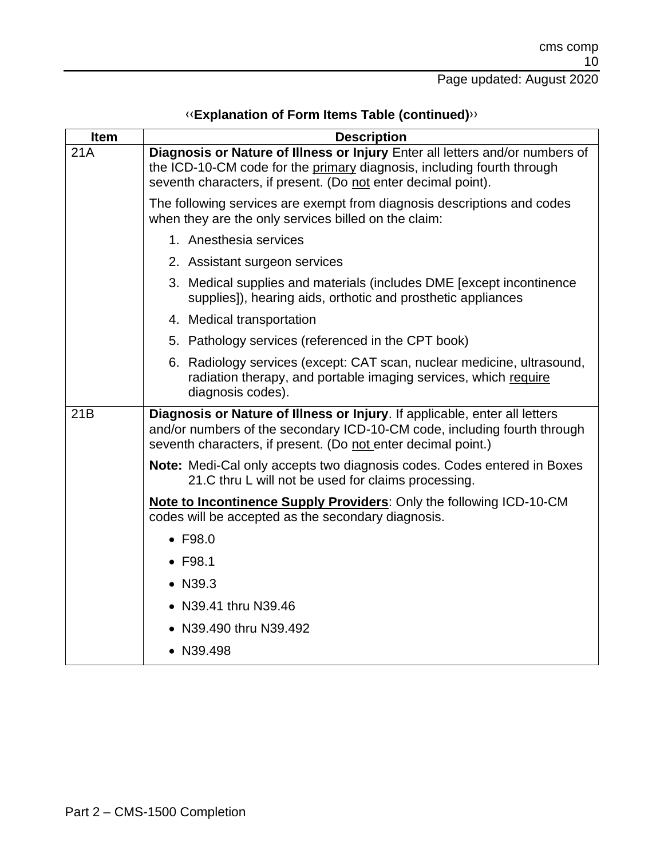| Item | <b>Description</b>                                                                                                                                                                                                      |
|------|-------------------------------------------------------------------------------------------------------------------------------------------------------------------------------------------------------------------------|
| 21A  | Diagnosis or Nature of Illness or Injury Enter all letters and/or numbers of<br>the ICD-10-CM code for the primary diagnosis, including fourth through<br>seventh characters, if present. (Do not enter decimal point). |
|      | The following services are exempt from diagnosis descriptions and codes<br>when they are the only services billed on the claim:                                                                                         |
|      | 1. Anesthesia services                                                                                                                                                                                                  |
|      | 2. Assistant surgeon services                                                                                                                                                                                           |
|      | 3. Medical supplies and materials (includes DME [except incontinence<br>supplies]), hearing aids, orthotic and prosthetic appliances                                                                                    |
|      | 4. Medical transportation                                                                                                                                                                                               |
|      | 5. Pathology services (referenced in the CPT book)                                                                                                                                                                      |
|      | 6. Radiology services (except: CAT scan, nuclear medicine, ultrasound,<br>radiation therapy, and portable imaging services, which require<br>diagnosis codes).                                                          |
| 21B  | Diagnosis or Nature of Illness or Injury. If applicable, enter all letters<br>and/or numbers of the secondary ICD-10-CM code, including fourth through<br>seventh characters, if present. (Do not enter decimal point.) |
|      | <b>Note:</b> Medi-Cal only accepts two diagnosis codes. Codes entered in Boxes<br>21.C thru L will not be used for claims processing.                                                                                   |
|      | Note to Incontinence Supply Providers: Only the following ICD-10-CM<br>codes will be accepted as the secondary diagnosis.                                                                                               |
|      | $\bullet$ F98.0                                                                                                                                                                                                         |
|      | $\bullet$ F98.1                                                                                                                                                                                                         |
|      | • N39.3                                                                                                                                                                                                                 |
|      | • N39.41 thru N39.46                                                                                                                                                                                                    |
|      | • N39.490 thru N39.492                                                                                                                                                                                                  |
|      | • N39.498                                                                                                                                                                                                               |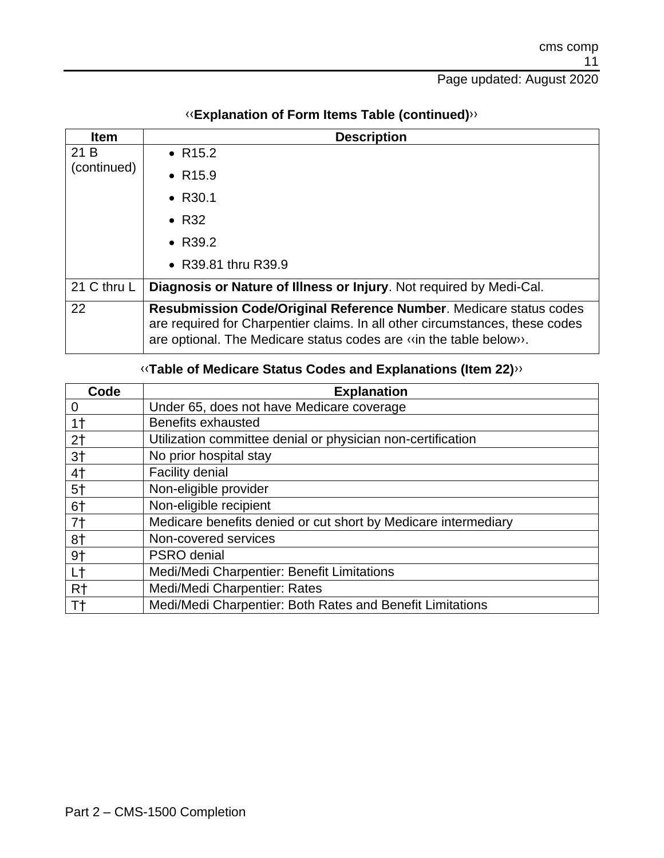| <b>Item</b> | <b>Description</b>                                                                                                                                                                                                             |
|-------------|--------------------------------------------------------------------------------------------------------------------------------------------------------------------------------------------------------------------------------|
| 21 B        | • $R15.2$                                                                                                                                                                                                                      |
| (continued) | • $R15.9$                                                                                                                                                                                                                      |
|             | • $R30.1$                                                                                                                                                                                                                      |
|             | $\bullet$ R32                                                                                                                                                                                                                  |
|             | • $R39.2$                                                                                                                                                                                                                      |
|             | • R39.81 thru R39.9                                                                                                                                                                                                            |
| 21 C thru L | Diagnosis or Nature of Illness or Injury. Not required by Medi-Cal.                                                                                                                                                            |
| 22          | <b>Resubmission Code/Original Reference Number. Medicare status codes</b><br>are required for Charpentier claims. In all other circumstances, these codes<br>are optional. The Medicare status codes are «in the table below». |

#### [‹‹](#page-20-0)**Explanation of Form Items Table (continued)**[››](#page-20-1)

#### [‹‹](#page-20-0)**Table of Medicare Status Codes and Explanations (Item 22)**[››](#page-20-1)

| Code           | <b>Explanation</b>                                             |
|----------------|----------------------------------------------------------------|
| 0              | Under 65, does not have Medicare coverage                      |
| 1 <sup>†</sup> | Benefits exhausted                                             |
| 2 <sub>1</sub> | Utilization committee denial or physician non-certification    |
| 3 <sup>†</sup> | No prior hospital stay                                         |
| 4 <sup>†</sup> | <b>Facility denial</b>                                         |
| 5 <sup>†</sup> | Non-eligible provider                                          |
| 6†             | Non-eligible recipient                                         |
| 7 <sup>†</sup> | Medicare benefits denied or cut short by Medicare intermediary |
| 8†             | Non-covered services                                           |
| 9 <sup>†</sup> | <b>PSRO</b> denial                                             |
| L†             | Medi/Medi Charpentier: Benefit Limitations                     |
| R <sub>†</sub> | Medi/Medi Charpentier: Rates                                   |
| Tt.            | Medi/Medi Charpentier: Both Rates and Benefit Limitations      |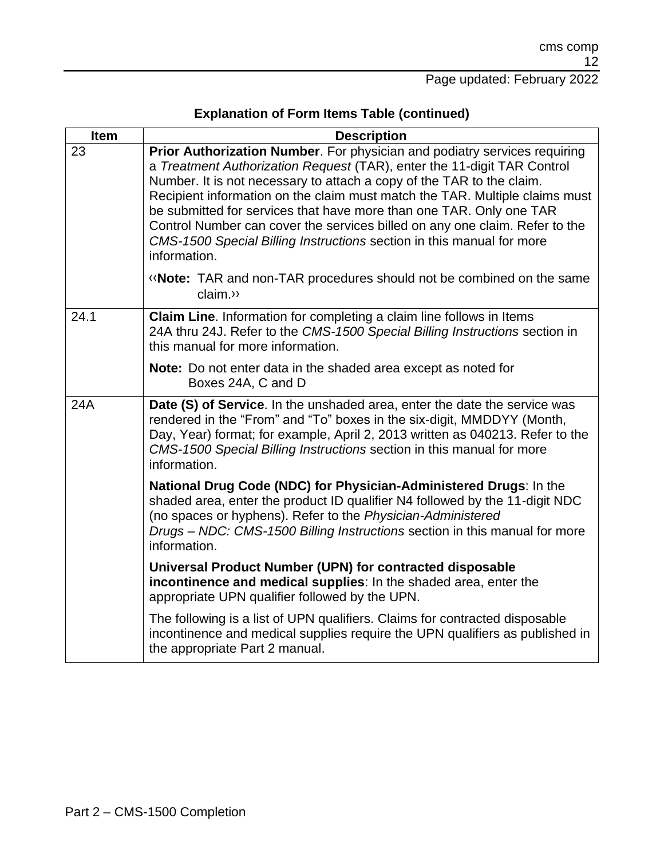| <b>Item</b> | <b>Description</b>                                                                                                                                                                                                                                                                                                                                                                                                                                                                                                                                          |
|-------------|-------------------------------------------------------------------------------------------------------------------------------------------------------------------------------------------------------------------------------------------------------------------------------------------------------------------------------------------------------------------------------------------------------------------------------------------------------------------------------------------------------------------------------------------------------------|
| 23          | Prior Authorization Number. For physician and podiatry services requiring<br>a Treatment Authorization Request (TAR), enter the 11-digit TAR Control<br>Number. It is not necessary to attach a copy of the TAR to the claim.<br>Recipient information on the claim must match the TAR. Multiple claims must<br>be submitted for services that have more than one TAR. Only one TAR<br>Control Number can cover the services billed on any one claim. Refer to the<br>CMS-1500 Special Billing Instructions section in this manual for more<br>information. |
|             | <b>«Note:</b> TAR and non-TAR procedures should not be combined on the same<br>claim.»                                                                                                                                                                                                                                                                                                                                                                                                                                                                      |
| 24.1        | Claim Line. Information for completing a claim line follows in Items<br>24A thru 24J. Refer to the CMS-1500 Special Billing Instructions section in<br>this manual for more information.                                                                                                                                                                                                                                                                                                                                                                    |
|             | Note: Do not enter data in the shaded area except as noted for<br>Boxes 24A, C and D                                                                                                                                                                                                                                                                                                                                                                                                                                                                        |
| 24A         | Date (S) of Service. In the unshaded area, enter the date the service was<br>rendered in the "From" and "To" boxes in the six-digit, MMDDYY (Month,<br>Day, Year) format; for example, April 2, 2013 written as 040213. Refer to the<br>CMS-1500 Special Billing Instructions section in this manual for more<br>information.                                                                                                                                                                                                                               |
|             | National Drug Code (NDC) for Physician-Administered Drugs: In the<br>shaded area, enter the product ID qualifier N4 followed by the 11-digit NDC<br>(no spaces or hyphens). Refer to the Physician-Administered<br>Drugs - NDC: CMS-1500 Billing Instructions section in this manual for more<br>information.                                                                                                                                                                                                                                               |
|             | Universal Product Number (UPN) for contracted disposable<br>incontinence and medical supplies: In the shaded area, enter the<br>appropriate UPN qualifier followed by the UPN.                                                                                                                                                                                                                                                                                                                                                                              |
|             | The following is a list of UPN qualifiers. Claims for contracted disposable<br>incontinence and medical supplies require the UPN qualifiers as published in<br>the appropriate Part 2 manual.                                                                                                                                                                                                                                                                                                                                                               |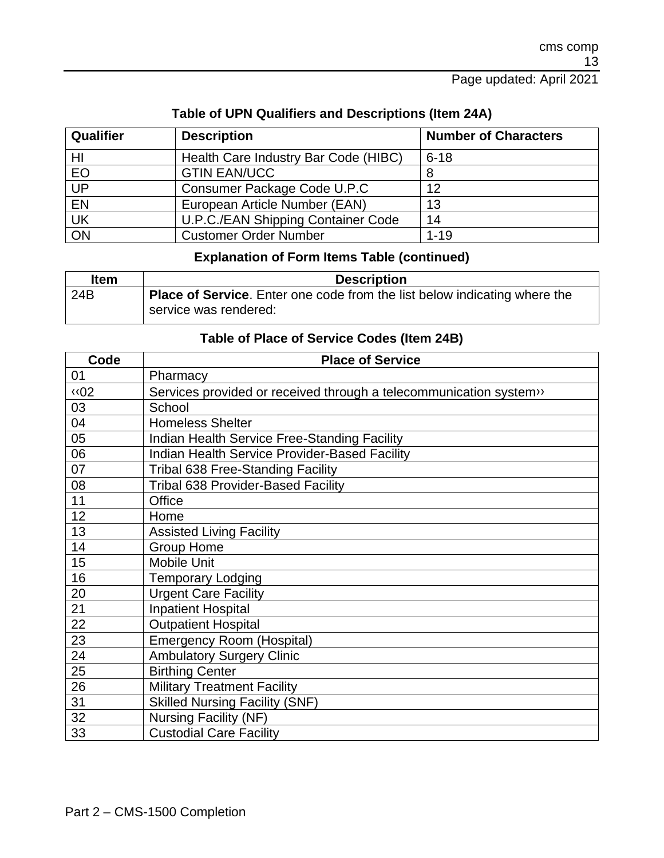#### Page updated: April 2021

| Qualifier       | <b>Description</b>                   | <b>Number of Characters</b> |
|-----------------|--------------------------------------|-----------------------------|
| HI              | Health Care Industry Bar Code (HIBC) | $6 - 18$                    |
| EO              | <b>GTIN EAN/UCC</b>                  |                             |
| $\overline{UP}$ | Consumer Package Code U.P.C          | 12                          |
| <b>EN</b>       | European Article Number (EAN)        | 13                          |
| UK              | U.P.C./EAN Shipping Container Code   | 14                          |
| ON              | <b>Customer Order Number</b>         | $1 - 19$                    |

#### **Table of UPN Qualifiers and Descriptions (Item 24A)**

#### **Explanation of Form Items Table (continued)**

| <b>Item</b> | <b>Description</b>                                                               |
|-------------|----------------------------------------------------------------------------------|
| 24B         | <b>Place of Service.</b> Enter one code from the list below indicating where the |
|             | service was rendered:                                                            |

#### **Table of Place of Service Codes (Item 24B)**

| Code       | <b>Place of Service</b>                                           |
|------------|-------------------------------------------------------------------|
| 01         | Pharmacy                                                          |
| <b>«02</b> | Services provided or received through a telecommunication system» |
| 03         | School                                                            |
| 04         | <b>Homeless Shelter</b>                                           |
| 05         | Indian Health Service Free-Standing Facility                      |
| 06         | Indian Health Service Provider-Based Facility                     |
| 07         | <b>Tribal 638 Free-Standing Facility</b>                          |
| 08         | Tribal 638 Provider-Based Facility                                |
| 11         | Office                                                            |
| 12         | Home                                                              |
| 13         | <b>Assisted Living Facility</b>                                   |
| 14         | <b>Group Home</b>                                                 |
| 15         | Mobile Unit                                                       |
| 16         | <b>Temporary Lodging</b>                                          |
| 20         | <b>Urgent Care Facility</b>                                       |
| 21         | <b>Inpatient Hospital</b>                                         |
| 22         | <b>Outpatient Hospital</b>                                        |
| 23         | <b>Emergency Room (Hospital)</b>                                  |
| 24         | <b>Ambulatory Surgery Clinic</b>                                  |
| 25         | <b>Birthing Center</b>                                            |
| 26         | <b>Military Treatment Facility</b>                                |
| 31         | <b>Skilled Nursing Facility (SNF)</b>                             |
| 32         | <b>Nursing Facility (NF)</b>                                      |
| 33         | <b>Custodial Care Facility</b>                                    |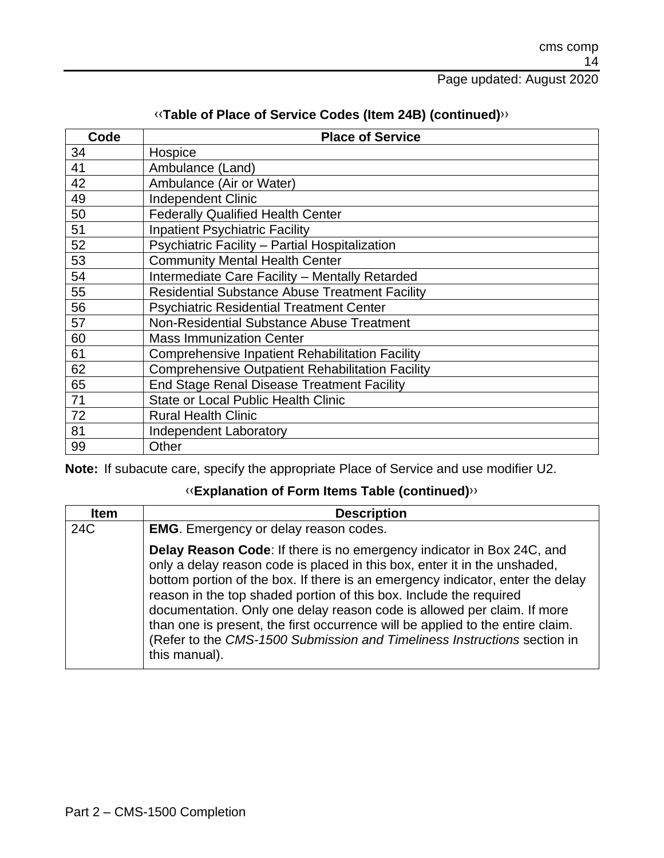| Code | <b>Place of Service</b>                                 |
|------|---------------------------------------------------------|
| 34   | Hospice                                                 |
| 41   | Ambulance (Land)                                        |
| 42   | Ambulance (Air or Water)                                |
| 49   | <b>Independent Clinic</b>                               |
| 50   | <b>Federally Qualified Health Center</b>                |
| 51   | <b>Inpatient Psychiatric Facility</b>                   |
| 52   | Psychiatric Facility - Partial Hospitalization          |
| 53   | <b>Community Mental Health Center</b>                   |
| 54   | Intermediate Care Facility - Mentally Retarded          |
| 55   | <b>Residential Substance Abuse Treatment Facility</b>   |
| 56   | <b>Psychiatric Residential Treatment Center</b>         |
| 57   | Non-Residential Substance Abuse Treatment               |
| 60   | <b>Mass Immunization Center</b>                         |
| 61   | <b>Comprehensive Inpatient Rehabilitation Facility</b>  |
| 62   | <b>Comprehensive Outpatient Rehabilitation Facility</b> |
| 65   | <b>End Stage Renal Disease Treatment Facility</b>       |
| 71   | <b>State or Local Public Health Clinic</b>              |
| 72   | <b>Rural Health Clinic</b>                              |
| 81   | <b>Independent Laboratory</b>                           |
| 99   | Other                                                   |

#### [‹‹](#page-20-0)**Table of Place of Service Codes (Item 24B) (continued)**[››](#page-20-1)

**Note:** If subacute care, specify the appropriate Place of Service and use modifier U2.

| <b>Item</b> | <b>Description</b>                                                                                                                                                                                                                                                                                                                                                                                                                                                                                                                                                   |
|-------------|----------------------------------------------------------------------------------------------------------------------------------------------------------------------------------------------------------------------------------------------------------------------------------------------------------------------------------------------------------------------------------------------------------------------------------------------------------------------------------------------------------------------------------------------------------------------|
| 24C         | <b>EMG.</b> Emergency or delay reason codes.                                                                                                                                                                                                                                                                                                                                                                                                                                                                                                                         |
|             | Delay Reason Code: If there is no emergency indicator in Box 24C, and<br>only a delay reason code is placed in this box, enter it in the unshaded,<br>bottom portion of the box. If there is an emergency indicator, enter the delay<br>reason in the top shaded portion of this box. Include the required<br>documentation. Only one delay reason code is allowed per claim. If more<br>than one is present, the first occurrence will be applied to the entire claim.<br>(Refer to the CMS-1500 Submission and Timeliness Instructions section in<br>this manual). |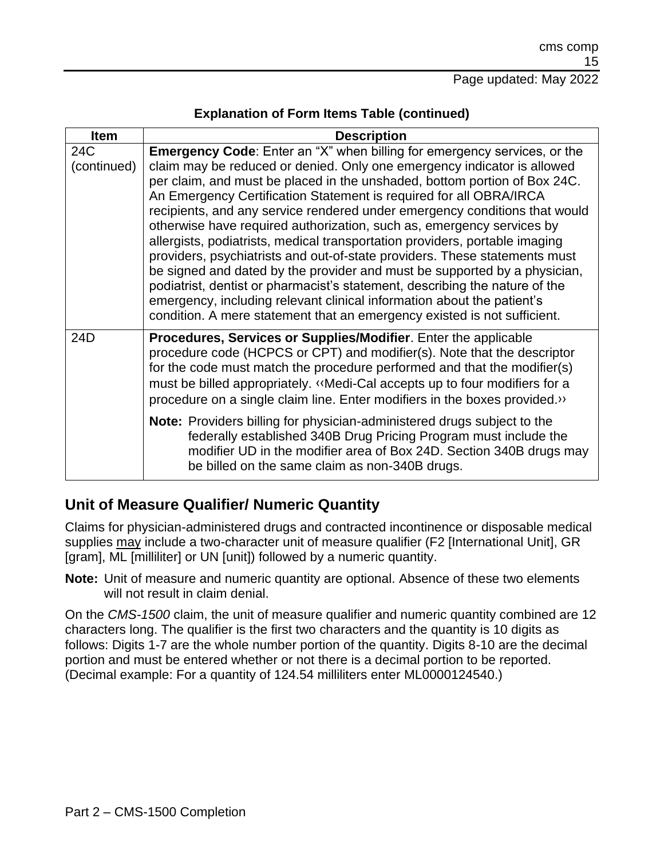| <b>Description</b>                                                                                                                                                                                                                                                                                                                                                                                                                                                                                                                                                                                                                                                                                                                                                                                                                                                                                                                           |
|----------------------------------------------------------------------------------------------------------------------------------------------------------------------------------------------------------------------------------------------------------------------------------------------------------------------------------------------------------------------------------------------------------------------------------------------------------------------------------------------------------------------------------------------------------------------------------------------------------------------------------------------------------------------------------------------------------------------------------------------------------------------------------------------------------------------------------------------------------------------------------------------------------------------------------------------|
| Emergency Code: Enter an "X" when billing for emergency services, or the<br>claim may be reduced or denied. Only one emergency indicator is allowed<br>per claim, and must be placed in the unshaded, bottom portion of Box 24C.<br>An Emergency Certification Statement is required for all OBRA/IRCA<br>recipients, and any service rendered under emergency conditions that would<br>otherwise have required authorization, such as, emergency services by<br>allergists, podiatrists, medical transportation providers, portable imaging<br>providers, psychiatrists and out-of-state providers. These statements must<br>be signed and dated by the provider and must be supported by a physician,<br>podiatrist, dentist or pharmacist's statement, describing the nature of the<br>emergency, including relevant clinical information about the patient's<br>condition. A mere statement that an emergency existed is not sufficient. |
| Procedures, Services or Supplies/Modifier. Enter the applicable<br>procedure code (HCPCS or CPT) and modifier(s). Note that the descriptor<br>for the code must match the procedure performed and that the modifier(s)<br>must be billed appropriately. «Medi-Cal accepts up to four modifiers for a<br>procedure on a single claim line. Enter modifiers in the boxes provided.»<br>Note: Providers billing for physician-administered drugs subject to the<br>federally established 340B Drug Pricing Program must include the<br>modifier UD in the modifier area of Box 24D. Section 340B drugs may<br>be billed on the same claim as non-340B drugs.                                                                                                                                                                                                                                                                                    |
|                                                                                                                                                                                                                                                                                                                                                                                                                                                                                                                                                                                                                                                                                                                                                                                                                                                                                                                                              |

### **Unit of Measure Qualifier/ Numeric Quantity**

Claims for physician-administered drugs and contracted incontinence or disposable medical supplies may include a two-character unit of measure qualifier (F2 [International Unit], GR [gram], ML [milliliter] or UN [unit]) followed by a numeric quantity.

**Note:** Unit of measure and numeric quantity are optional. Absence of these two elements will not result in claim denial.

On the *CMS-1500* claim, the unit of measure qualifier and numeric quantity combined are 12 characters long. The qualifier is the first two characters and the quantity is 10 digits as follows: Digits 1-7 are the whole number portion of the quantity. Digits 8-10 are the decimal portion and must be entered whether or not there is a decimal portion to be reported. (Decimal example: For a quantity of 124.54 milliliters enter ML0000124540.)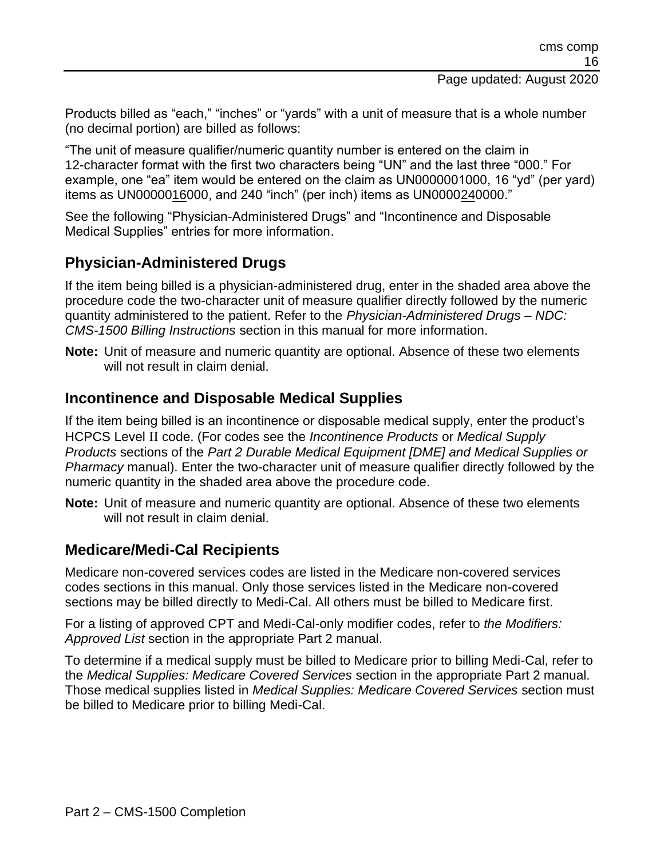Products billed as "each," "inches" or "yards" with a unit of measure that is a whole number (no decimal portion) are billed as follows:

"The unit of measure qualifier/numeric quantity number is entered on the claim in 12-character format with the first two characters being "UN" and the last three "000." For example, one "ea" item would be entered on the claim as UN0000001000, 16 "yd" (per yard) items as UN0000016000, and 240 "inch" (per inch) items as UN0000240000."

See the following "Physician-Administered Drugs" and "Incontinence and Disposable Medical Supplies" entries for more information.

#### **Physician-Administered Drugs**

If the item being billed is a physician-administered drug, enter in the shaded area above the procedure code the two-character unit of measure qualifier directly followed by the numeric quantity administered to the patient. Refer to the *Physician-Administered Drugs – NDC: CMS-1500 Billing Instructions* section in this manual for more information.

**Note:** Unit of measure and numeric quantity are optional. Absence of these two elements will not result in claim denial.

#### **Incontinence and Disposable Medical Supplies**

If the item being billed is an incontinence or disposable medical supply, enter the product's HCPCS Level II code. (For codes see the *Incontinence Products* or *Medical Supply Products* sections of the *Part 2 Durable Medical Equipment [DME] and Medical Supplies or Pharmacy* manual). Enter the two-character unit of measure qualifier directly followed by the numeric quantity in the shaded area above the procedure code.

**Note:** Unit of measure and numeric quantity are optional. Absence of these two elements will not result in claim denial.

#### **Medicare/Medi-Cal Recipients**

Medicare non-covered services codes are listed in the Medicare non-covered services codes sections in this manual. Only those services listed in the Medicare non-covered sections may be billed directly to Medi-Cal. All others must be billed to Medicare first.

For a listing of approved CPT and Medi-Cal-only modifier codes, refer to *the Modifiers: Approved List* section in the appropriate Part 2 manual.

To determine if a medical supply must be billed to Medicare prior to billing Medi-Cal, refer to the *Medical Supplies: Medicare Covered Services* section in the appropriate Part 2 manual. Those medical supplies listed in *Medical Supplies: Medicare Covered Services* section must be billed to Medicare prior to billing Medi-Cal.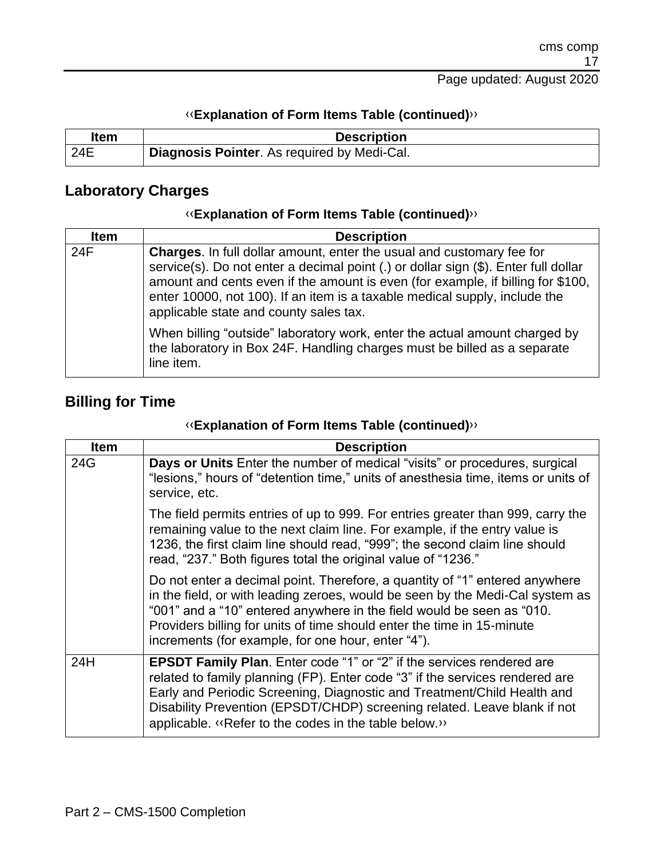| ltem | <b>Description</b>                          |
|------|---------------------------------------------|
| 24E  | Diagnosis Pointer. As required by Medi-Cal. |

#### **Laboratory Charges**

#### [‹‹](#page-20-0)**Explanation of Form Items Table (continued)**[››](#page-20-1)

| <b>Item</b> | <b>Description</b>                                                                                                                                                                                                                                                                                                                                                             |
|-------------|--------------------------------------------------------------------------------------------------------------------------------------------------------------------------------------------------------------------------------------------------------------------------------------------------------------------------------------------------------------------------------|
| 24F         | <b>Charges.</b> In full dollar amount, enter the usual and customary fee for<br>service(s). Do not enter a decimal point (.) or dollar sign (\$). Enter full dollar<br>amount and cents even if the amount is even (for example, if billing for \$100,<br>enter 10000, not 100). If an item is a taxable medical supply, include the<br>applicable state and county sales tax. |
|             | When billing "outside" laboratory work, enter the actual amount charged by<br>the laboratory in Box 24F. Handling charges must be billed as a separate<br>line item.                                                                                                                                                                                                           |

# **Billing for Time**

| <b>Item</b> | <b>Description</b>                                                                                                                                                                                                                                                                                                                                                          |
|-------------|-----------------------------------------------------------------------------------------------------------------------------------------------------------------------------------------------------------------------------------------------------------------------------------------------------------------------------------------------------------------------------|
| 24G         | Days or Units Enter the number of medical "visits" or procedures, surgical<br>"lesions," hours of "detention time," units of anesthesia time, items or units of<br>service, etc.                                                                                                                                                                                            |
|             | The field permits entries of up to 999. For entries greater than 999, carry the<br>remaining value to the next claim line. For example, if the entry value is<br>1236, the first claim line should read, "999"; the second claim line should<br>read, "237." Both figures total the original value of "1236."                                                               |
|             | Do not enter a decimal point. Therefore, a quantity of "1" entered anywhere<br>in the field, or with leading zeroes, would be seen by the Medi-Cal system as<br>"001" and a "10" entered anywhere in the field would be seen as "010.<br>Providers billing for units of time should enter the time in 15-minute<br>increments (for example, for one hour, enter "4").       |
| 24H         | <b>EPSDT Family Plan.</b> Enter code "1" or "2" if the services rendered are<br>related to family planning (FP). Enter code "3" if the services rendered are<br>Early and Periodic Screening, Diagnostic and Treatment/Child Health and<br>Disability Prevention (EPSDT/CHDP) screening related. Leave blank if not<br>applicable. «Refer to the codes in the table below.» |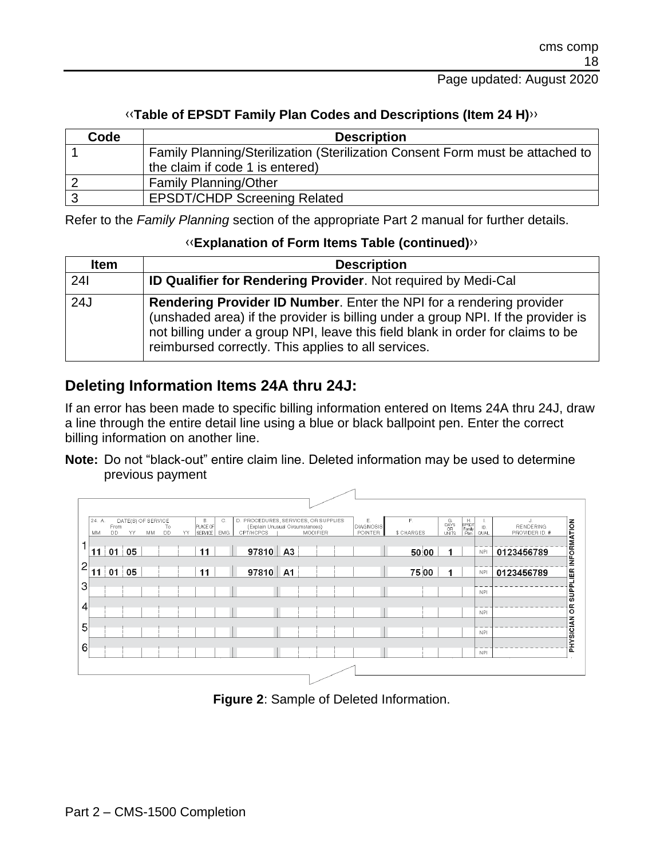#### [‹‹](#page-20-0)**Table of EPSDT Family Plan Codes and Descriptions (Item 24 H)**[››](#page-20-1)

| Code | <b>Description</b>                                                            |
|------|-------------------------------------------------------------------------------|
|      | Family Planning/Sterilization (Sterilization Consent Form must be attached to |
|      | the claim if code 1 is entered)                                               |
|      | <b>Family Planning/Other</b>                                                  |
|      | <b>EPSDT/CHDP Screening Related</b>                                           |

Refer to the *Family Planning* section of the appropriate Part 2 manual for further details.

#### [‹‹](#page-20-0)**Explanation of Form Items Table (continued)**[››](#page-20-1)

| <b>Item</b> | <b>Description</b>                                                                                                                                                                                                                                                                                        |
|-------------|-----------------------------------------------------------------------------------------------------------------------------------------------------------------------------------------------------------------------------------------------------------------------------------------------------------|
| 24          | <b>ID Qualifier for Rendering Provider.</b> Not required by Medi-Cal                                                                                                                                                                                                                                      |
| 24J         | <b>Rendering Provider ID Number.</b> Enter the NPI for a rendering provider<br>(unshaded area) if the provider is billing under a group NPI. If the provider is<br>not billing under a group NPI, leave this field blank in order for claims to be<br>reimbursed correctly. This applies to all services. |

### **Deleting Information Items 24A thru 24J:**

If an error has been made to specific billing information entered on Items 24A thru 24J, draw a line through the entire detail line using a blue or black ballpoint pen. Enter the correct billing information on another line.

**Note:** Do not "black-out" entire claim line. Deleted information may be used to determine previous payment

|                | 24. A. |           |           |                    |    |     | <b>B.</b> |            |                                                                         |                 |  | Ε.               | F.         |       |                                                         |                              |            |                 |                             |
|----------------|--------|-----------|-----------|--------------------|----|-----|-----------|------------|-------------------------------------------------------------------------|-----------------|--|------------------|------------|-------|---------------------------------------------------------|------------------------------|------------|-----------------|-----------------------------|
|                |        | From      |           | DATE(S) OF SERVICE | To |     | PLACE OF  | Ю.         | D. PROCEDURES, SERVICES, OR SUPPLIES<br>(Explain Unusual Circumstances) |                 |  | <b>DIAGNOSIS</b> |            |       | $\begin{array}{c}\nG\\ DAYS\\ OR\\\nUNITS\n\end{array}$ | H<br>EPSOT<br>Family<br>Plan | ID.        | J.<br>RENDERING | <b>SUPPLIER INFORMATION</b> |
|                | MM     | <b>DD</b> | <b>YY</b> | MM                 | DD | YY. | SERVICE   | <b>EMG</b> | CPT/HCPCS                                                               | <b>MODIFIER</b> |  | POINTER          | \$ CHARGES |       |                                                         |                              | QUAL       | PROVIDER ID. #  |                             |
| ٠              |        |           |           |                    |    |     |           |            |                                                                         |                 |  |                  |            |       |                                                         |                              |            |                 |                             |
|                | 11     | 01        | 05        |                    |    |     | 11        |            | 97810 A3                                                                |                 |  |                  |            | 50 00 |                                                         |                              | <b>NPI</b> | 0123456789      |                             |
| $\overline{c}$ |        |           |           |                    |    |     |           |            |                                                                         |                 |  |                  |            |       |                                                         |                              |            |                 |                             |
|                | 1      | 01        | 05        |                    |    |     | 11        |            | 97810 A1                                                                |                 |  |                  |            | 75 00 |                                                         |                              | <b>NPI</b> | 0123456789      |                             |
| 3              |        |           |           |                    |    |     |           |            |                                                                         |                 |  |                  |            |       |                                                         |                              |            |                 |                             |
|                |        |           |           |                    |    |     |           |            |                                                                         |                 |  |                  |            |       |                                                         |                              | <b>NPI</b> |                 |                             |
| 4              |        |           |           |                    |    |     |           |            |                                                                         |                 |  |                  |            |       |                                                         |                              |            |                 | g                           |
|                |        |           |           |                    |    |     |           |            |                                                                         |                 |  |                  |            |       |                                                         |                              | <b>NPI</b> |                 |                             |
| 5              |        |           |           |                    |    |     |           |            |                                                                         |                 |  |                  |            |       |                                                         |                              |            |                 |                             |
|                |        |           |           |                    |    |     |           |            |                                                                         |                 |  |                  |            |       |                                                         |                              | <b>NPI</b> |                 |                             |
| 6              |        |           |           |                    |    |     |           |            |                                                                         |                 |  |                  |            |       |                                                         |                              |            |                 | <b>PHYSICIAN</b>            |
|                |        |           |           |                    |    |     |           |            |                                                                         |                 |  |                  |            |       |                                                         |                              | <b>NPI</b> |                 |                             |
|                |        |           |           |                    |    |     |           |            |                                                                         |                 |  |                  |            |       |                                                         |                              |            |                 |                             |
|                |        |           |           |                    |    |     |           |            |                                                                         |                 |  |                  |            |       |                                                         |                              |            |                 |                             |

**Figure 2**: Sample of Deleted Information.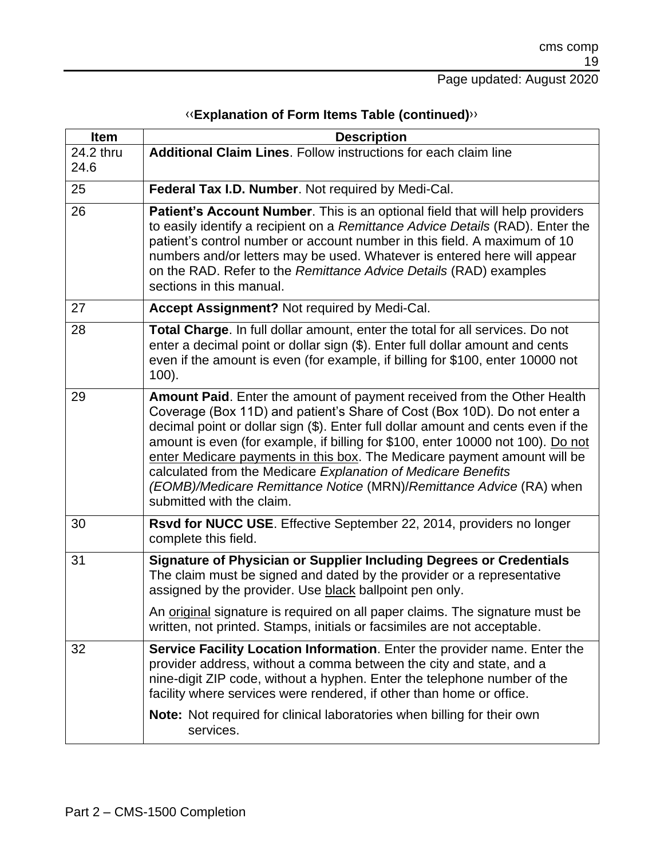| <b>Item</b> | <b>Description</b>                                                                                                                                                                                                                                                                                                                                                                                                                                                                                                                                                           |
|-------------|------------------------------------------------------------------------------------------------------------------------------------------------------------------------------------------------------------------------------------------------------------------------------------------------------------------------------------------------------------------------------------------------------------------------------------------------------------------------------------------------------------------------------------------------------------------------------|
| 24.2 thru   | <b>Additional Claim Lines.</b> Follow instructions for each claim line                                                                                                                                                                                                                                                                                                                                                                                                                                                                                                       |
| 24.6        |                                                                                                                                                                                                                                                                                                                                                                                                                                                                                                                                                                              |
| 25          | Federal Tax I.D. Number. Not required by Medi-Cal.                                                                                                                                                                                                                                                                                                                                                                                                                                                                                                                           |
| 26          | Patient's Account Number. This is an optional field that will help providers<br>to easily identify a recipient on a Remittance Advice Details (RAD). Enter the<br>patient's control number or account number in this field. A maximum of 10<br>numbers and/or letters may be used. Whatever is entered here will appear<br>on the RAD. Refer to the Remittance Advice Details (RAD) examples<br>sections in this manual.                                                                                                                                                     |
| 27          | Accept Assignment? Not required by Medi-Cal.                                                                                                                                                                                                                                                                                                                                                                                                                                                                                                                                 |
| 28          | Total Charge. In full dollar amount, enter the total for all services. Do not<br>enter a decimal point or dollar sign (\$). Enter full dollar amount and cents<br>even if the amount is even (for example, if billing for \$100, enter 10000 not<br>$100$ ).                                                                                                                                                                                                                                                                                                                 |
| 29          | Amount Paid. Enter the amount of payment received from the Other Health<br>Coverage (Box 11D) and patient's Share of Cost (Box 10D). Do not enter a<br>decimal point or dollar sign (\$). Enter full dollar amount and cents even if the<br>amount is even (for example, if billing for \$100, enter 10000 not 100). Do not<br>enter Medicare payments in this box. The Medicare payment amount will be<br>calculated from the Medicare Explanation of Medicare Benefits<br>(EOMB)/Medicare Remittance Notice (MRN)/Remittance Advice (RA) when<br>submitted with the claim. |
| 30          | Rsvd for NUCC USE. Effective September 22, 2014, providers no longer<br>complete this field.                                                                                                                                                                                                                                                                                                                                                                                                                                                                                 |
| 31          | Signature of Physician or Supplier Including Degrees or Credentials<br>The claim must be signed and dated by the provider or a representative<br>assigned by the provider. Use black ballpoint pen only.                                                                                                                                                                                                                                                                                                                                                                     |
|             | An original signature is required on all paper claims. The signature must be<br>written, not printed. Stamps, initials or facsimiles are not acceptable.                                                                                                                                                                                                                                                                                                                                                                                                                     |
| 32          | Service Facility Location Information. Enter the provider name. Enter the<br>provider address, without a comma between the city and state, and a<br>nine-digit ZIP code, without a hyphen. Enter the telephone number of the<br>facility where services were rendered, if other than home or office.                                                                                                                                                                                                                                                                         |
|             | <b>Note:</b> Not required for clinical laboratories when billing for their own<br>services.                                                                                                                                                                                                                                                                                                                                                                                                                                                                                  |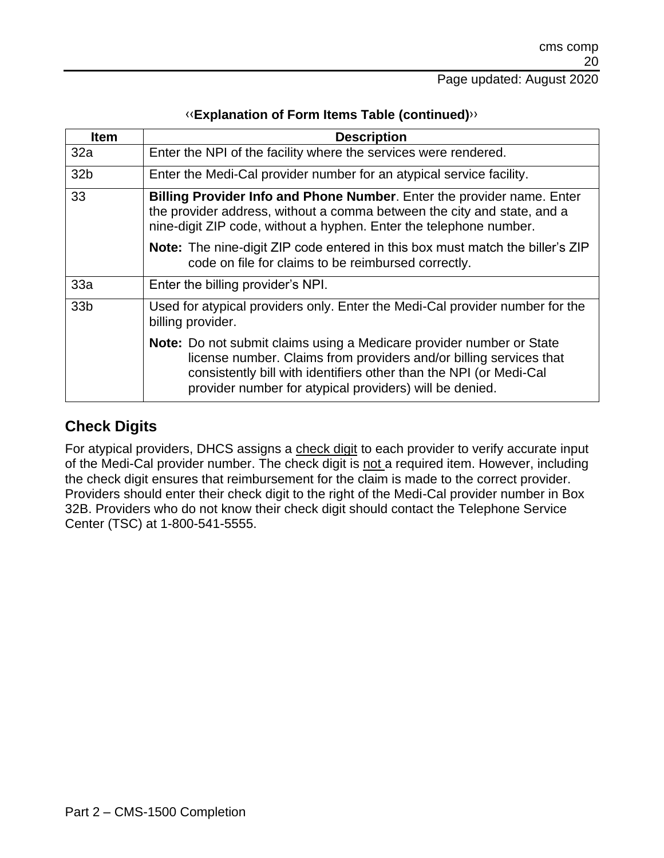| <b>Item</b>     | <b>Description</b>                                                                                                                                                                                                                                                                 |
|-----------------|------------------------------------------------------------------------------------------------------------------------------------------------------------------------------------------------------------------------------------------------------------------------------------|
| 32a             | Enter the NPI of the facility where the services were rendered.                                                                                                                                                                                                                    |
| 32 <sub>b</sub> | Enter the Medi-Cal provider number for an atypical service facility.                                                                                                                                                                                                               |
| 33              | <b>Billing Provider Info and Phone Number.</b> Enter the provider name. Enter<br>the provider address, without a comma between the city and state, and a<br>nine-digit ZIP code, without a hyphen. Enter the telephone number.                                                     |
|                 | <b>Note:</b> The nine-digit ZIP code entered in this box must match the biller's ZIP<br>code on file for claims to be reimbursed correctly.                                                                                                                                        |
| 33a             | Enter the billing provider's NPI.                                                                                                                                                                                                                                                  |
| 33 <sub>b</sub> | Used for atypical providers only. Enter the Medi-Cal provider number for the<br>billing provider.                                                                                                                                                                                  |
|                 | <b>Note:</b> Do not submit claims using a Medicare provider number or State<br>license number. Claims from providers and/or billing services that<br>consistently bill with identifiers other than the NPI (or Medi-Cal<br>provider number for atypical providers) will be denied. |

#### **Check Digits**

For atypical providers, DHCS assigns a check digit to each provider to verify accurate input of the Medi-Cal provider number. The check digit is not a required item. However, including the check digit ensures that reimbursement for the claim is made to the correct provider. Providers should enter their check digit to the right of the Medi-Cal provider number in Box 32B. Providers who do not know their check digit should contact the Telephone Service Center (TSC) at 1-800-541-5555.